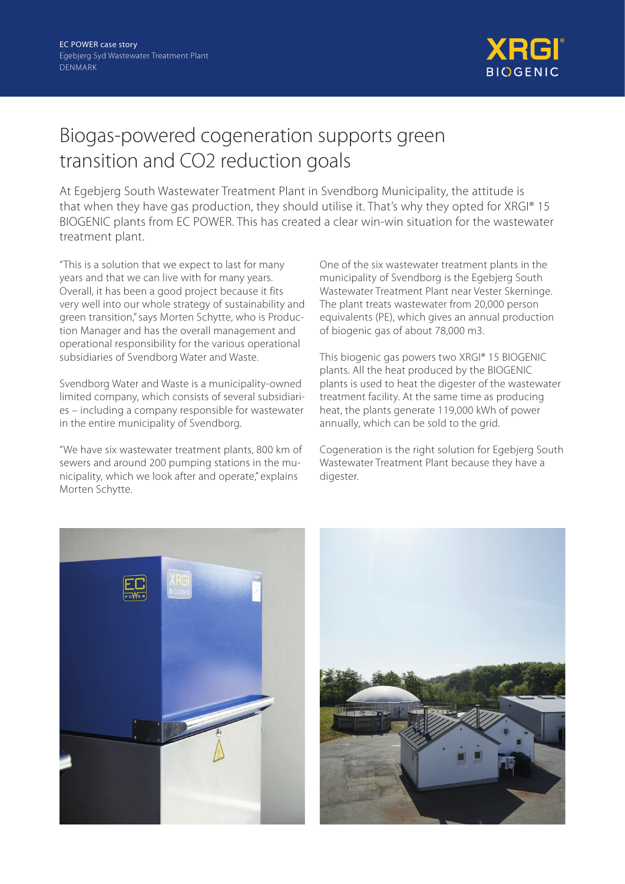

# Biogas-powered cogeneration supports green transition and CO2 reduction goals

At Egebjerg South Wastewater Treatment Plant in Svendborg Municipality, the attitude is that when they have gas production, they should utilise it. That's why they opted for XRGI® 15 BIOGENIC plants from EC POWER. This has created a clear win-win situation for the wastewater treatment plant.

"This is a solution that we expect to last for many years and that we can live with for many years. Overall, it has been a good project because it fits very well into our whole strategy of sustainability and green transition," says Morten Schytte, who is Production Manager and has the overall management and operational responsibility for the various operational subsidiaries of Svendborg Water and Waste.

Svendborg Water and Waste is a municipality-owned limited company, which consists of several subsidiaries – including a company responsible for wastewater in the entire municipality of Svendborg.

"We have six wastewater treatment plants, 800 km of sewers and around 200 pumping stations in the municipality, which we look after and operate," explains Morten Schytte.

One of the six wastewater treatment plants in the municipality of Svendborg is the Egebjerg South Wastewater Treatment Plant near Vester Skerninge. The plant treats wastewater from 20,000 person equivalents (PE), which gives an annual production of biogenic gas of about 78,000 m3.

This biogenic gas powers two XRGI® 15 BIOGENIC plants. All the heat produced by the BIOGENIC plants is used to heat the digester of the wastewater treatment facility. At the same time as producing heat, the plants generate 119,000 kWh of power annually, which can be sold to the grid.

Cogeneration is the right solution for Egebjerg South Wastewater Treatment Plant because they have a digester.